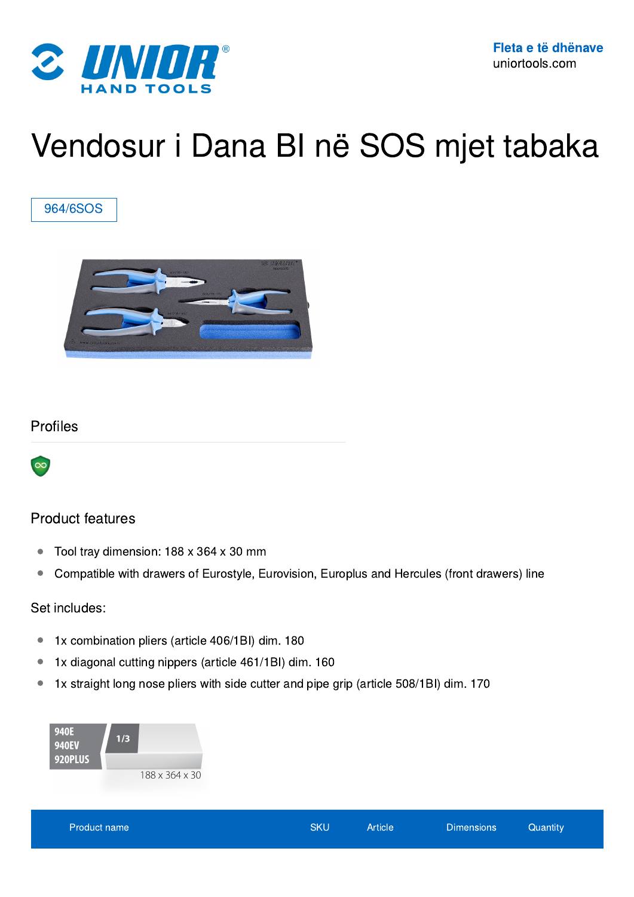

# Vendosur i Dana BI në SOS mjet tabaka

#### 964/6SOS



#### Profiles



#### Product features

- Tool tray dimension: 188 x 364 x 30 mm
- Compatible with drawers of Eurostyle, Eurovision, Europlus and Hercules (front drawers) line

#### Set includes:

- 1x combination pliers (article 406/1BI) dim. 180
- 1x diagonal cutting nippers (article 461/1BI) dim. 160
- 1x straight long nose pliers with side cutter and pipe grip (article 508/1BI) dim. 170